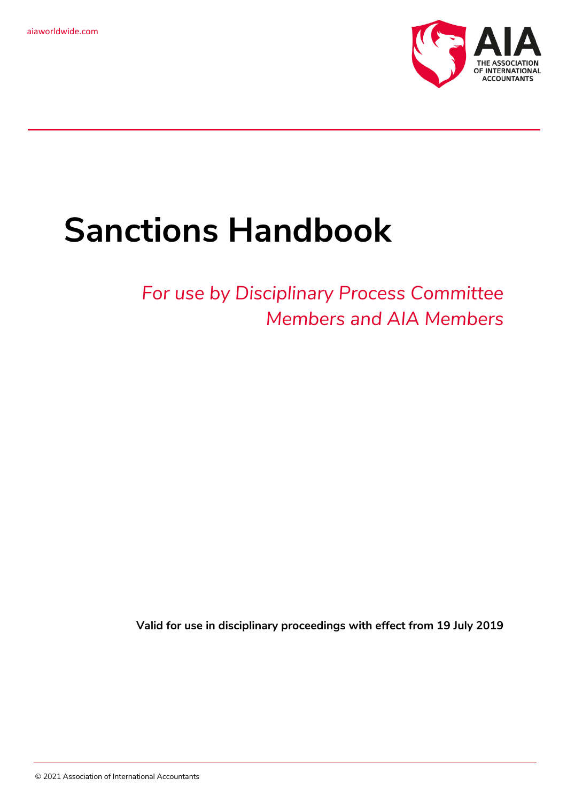

# **Sanctions Handbook**

## *For use by Disciplinary Process Committee Members and AIA Members*

**Valid for use in disciplinary proceedings with effect from 19 July 2019**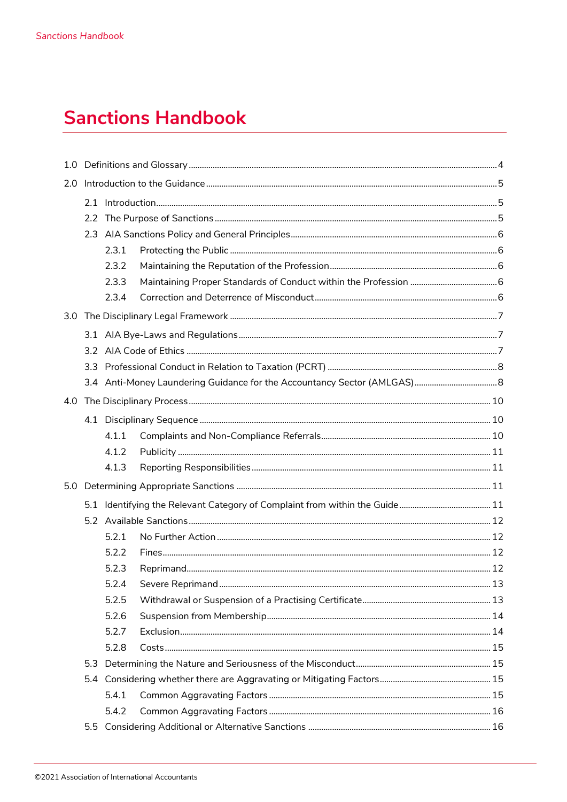## **Sanctions Handbook**

| 1.0 <sub>1</sub> |               |       |  |  |
|------------------|---------------|-------|--|--|
| 2.0              |               |       |  |  |
|                  |               |       |  |  |
|                  | $2.2^{\circ}$ |       |  |  |
|                  |               |       |  |  |
|                  |               | 2.3.1 |  |  |
|                  |               | 2.3.2 |  |  |
|                  |               | 2.3.3 |  |  |
|                  |               | 2.3.4 |  |  |
|                  |               |       |  |  |
|                  |               |       |  |  |
|                  |               |       |  |  |
|                  |               |       |  |  |
|                  |               |       |  |  |
| 4.0              |               |       |  |  |
|                  |               |       |  |  |
|                  |               | 4.1.1 |  |  |
|                  |               | 4.1.2 |  |  |
|                  |               | 4.1.3 |  |  |
|                  |               |       |  |  |
|                  |               |       |  |  |
|                  |               |       |  |  |
|                  |               | 5.2.1 |  |  |
|                  |               | 5.2.2 |  |  |
|                  |               | 5.2.3 |  |  |
|                  |               | 5.2.4 |  |  |
|                  |               | 5.2.5 |  |  |
|                  |               | 5.2.6 |  |  |
|                  |               | 5.2.7 |  |  |
|                  |               | 5.2.8 |  |  |
|                  |               |       |  |  |
|                  |               |       |  |  |
|                  |               | 5.4.1 |  |  |
|                  |               | 5.4.2 |  |  |
|                  |               |       |  |  |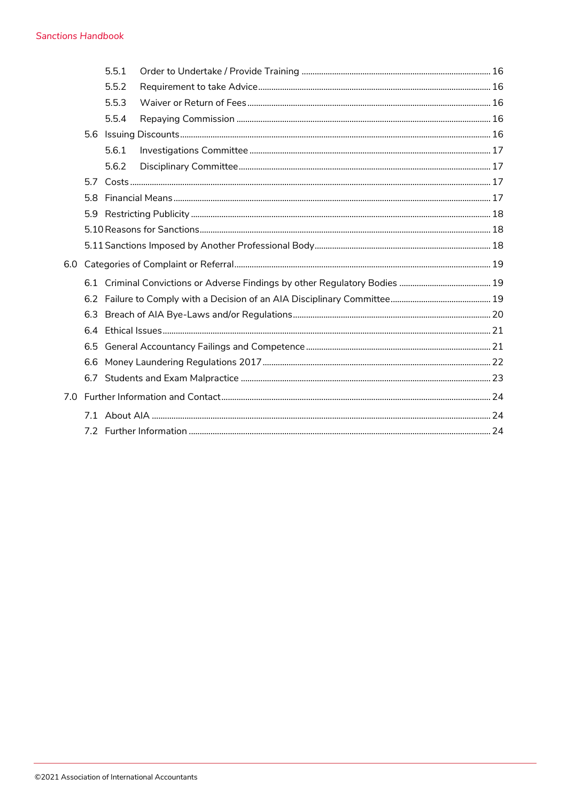#### **Sanctions Handbook**

|     |     | 5.5.1 |  |
|-----|-----|-------|--|
|     |     | 5.5.2 |  |
|     |     | 5.5.3 |  |
|     |     | 5.5.4 |  |
|     |     |       |  |
|     |     | 5.6.1 |  |
|     |     | 5.6.2 |  |
|     | 5.7 |       |  |
|     | 5.8 |       |  |
|     | 5.9 |       |  |
|     |     |       |  |
|     |     |       |  |
| 6.0 |     |       |  |
|     |     |       |  |
|     |     |       |  |
|     | 6.3 |       |  |
|     | 6.4 |       |  |
|     | 6.5 |       |  |
|     | 6.6 |       |  |
|     | 6.7 |       |  |
| 7.0 |     |       |  |
|     |     |       |  |
|     |     |       |  |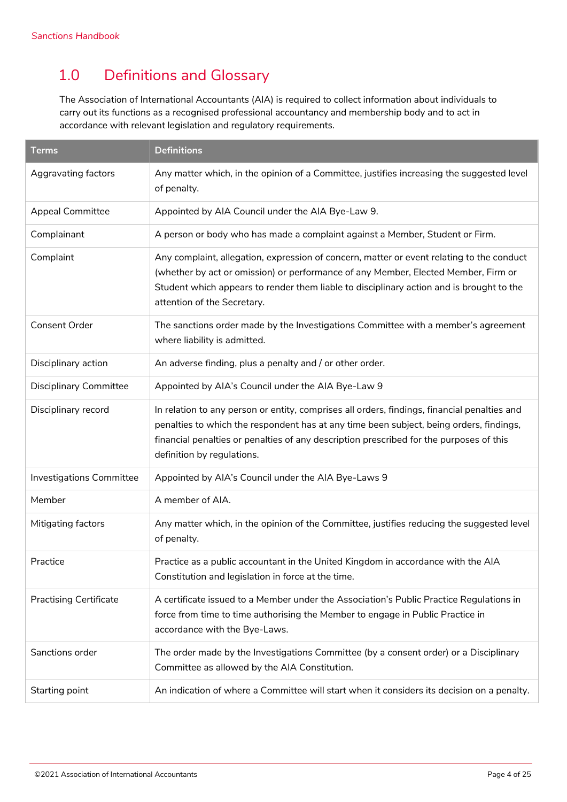## <span id="page-3-0"></span>1.0 Definitions and Glossary

The Association of International Accountants (AIA) is required to collect information about individuals to carry out its functions as a recognised professional accountancy and membership body and to act in accordance with relevant legislation and regulatory requirements.

| <b>Terms</b>                  | <b>Definitions</b>                                                                                                                                                                                                                                                                                               |
|-------------------------------|------------------------------------------------------------------------------------------------------------------------------------------------------------------------------------------------------------------------------------------------------------------------------------------------------------------|
| Aggravating factors           | Any matter which, in the opinion of a Committee, justifies increasing the suggested level<br>of penalty.                                                                                                                                                                                                         |
| <b>Appeal Committee</b>       | Appointed by AIA Council under the AIA Bye-Law 9.                                                                                                                                                                                                                                                                |
| Complainant                   | A person or body who has made a complaint against a Member, Student or Firm.                                                                                                                                                                                                                                     |
| Complaint                     | Any complaint, allegation, expression of concern, matter or event relating to the conduct<br>(whether by act or omission) or performance of any Member, Elected Member, Firm or<br>Student which appears to render them liable to disciplinary action and is brought to the<br>attention of the Secretary.       |
| Consent Order                 | The sanctions order made by the Investigations Committee with a member's agreement<br>where liability is admitted.                                                                                                                                                                                               |
| Disciplinary action           | An adverse finding, plus a penalty and / or other order.                                                                                                                                                                                                                                                         |
| <b>Disciplinary Committee</b> | Appointed by AIA's Council under the AIA Bye-Law 9                                                                                                                                                                                                                                                               |
| Disciplinary record           | In relation to any person or entity, comprises all orders, findings, financial penalties and<br>penalties to which the respondent has at any time been subject, being orders, findings,<br>financial penalties or penalties of any description prescribed for the purposes of this<br>definition by regulations. |
| Investigations Committee      | Appointed by AIA's Council under the AIA Bye-Laws 9                                                                                                                                                                                                                                                              |
| Member                        | A member of AIA.                                                                                                                                                                                                                                                                                                 |
| Mitigating factors            | Any matter which, in the opinion of the Committee, justifies reducing the suggested level<br>of penalty.                                                                                                                                                                                                         |
| Practice                      | Practice as a public accountant in the United Kingdom in accordance with the AIA<br>Constitution and legislation in force at the time.                                                                                                                                                                           |
| <b>Practising Certificate</b> | A certificate issued to a Member under the Association's Public Practice Regulations in<br>force from time to time authorising the Member to engage in Public Practice in<br>accordance with the Bye-Laws.                                                                                                       |
| Sanctions order               | The order made by the Investigations Committee (by a consent order) or a Disciplinary<br>Committee as allowed by the AIA Constitution.                                                                                                                                                                           |
| Starting point                | An indication of where a Committee will start when it considers its decision on a penalty.                                                                                                                                                                                                                       |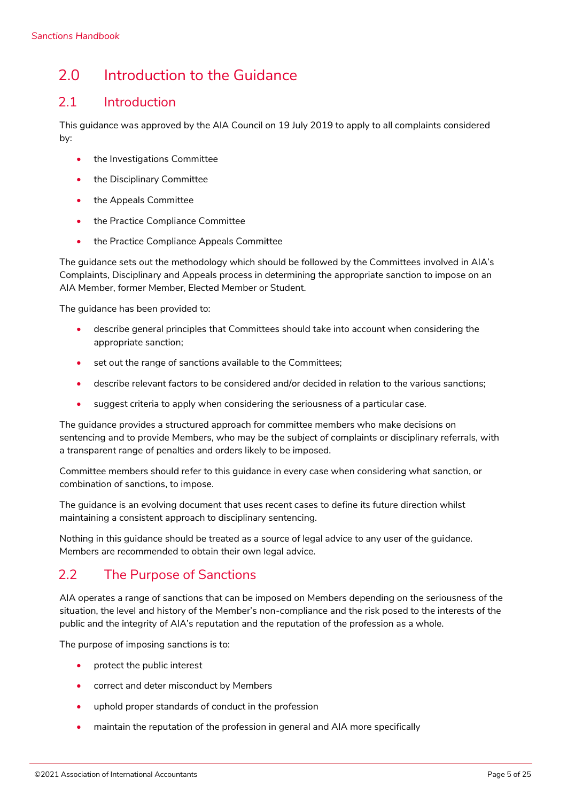## <span id="page-4-0"></span>2.0 Introduction to the Guidance

### <span id="page-4-1"></span>2.1 Introduction

This guidance was approved by the AIA Council on 19 July 2019 to apply to all complaints considered by:

- the Investigations Committee
- the Disciplinary Committee
- the Appeals Committee
- the Practice Compliance Committee
- the Practice Compliance Appeals Committee

The guidance sets out the methodology which should be followed by the Committees involved in AIA's Complaints, Disciplinary and Appeals process in determining the appropriate sanction to impose on an AIA Member, former Member, Elected Member or Student.

The guidance has been provided to:

- describe general principles that Committees should take into account when considering the appropriate sanction;
- set out the range of sanctions available to the Committees;
- describe relevant factors to be considered and/or decided in relation to the various sanctions;
- suggest criteria to apply when considering the seriousness of a particular case.

The guidance provides a structured approach for committee members who make decisions on sentencing and to provide Members, who may be the subject of complaints or disciplinary referrals, with a transparent range of penalties and orders likely to be imposed.

Committee members should refer to this guidance in every case when considering what sanction, or combination of sanctions, to impose.

The guidance is an evolving document that uses recent cases to define its future direction whilst maintaining a consistent approach to disciplinary sentencing.

Nothing in this guidance should be treated as a source of legal advice to any user of the guidance. Members are recommended to obtain their own legal advice.

## <span id="page-4-2"></span>2.2 The Purpose of Sanctions

AIA operates a range of sanctions that can be imposed on Members depending on the seriousness of the situation, the level and history of the Member's non-compliance and the risk posed to the interests of the public and the integrity of AIA's reputation and the reputation of the profession as a whole.

The purpose of imposing sanctions is to:

- protect the public interest
- correct and deter misconduct by Members
- uphold proper standards of conduct in the profession
- maintain the reputation of the profession in general and AIA more specifically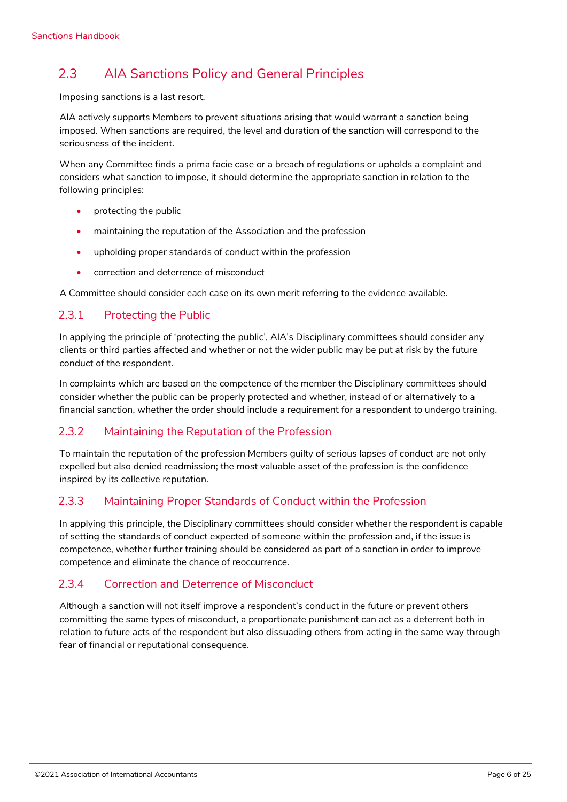## <span id="page-5-0"></span>2.3 AIA Sanctions Policy and General Principles

Imposing sanctions is a last resort.

AIA actively supports Members to prevent situations arising that would warrant a sanction being imposed. When sanctions are required, the level and duration of the sanction will correspond to the seriousness of the incident.

When any Committee finds a prima facie case or a breach of regulations or upholds a complaint and considers what sanction to impose, it should determine the appropriate sanction in relation to the following principles:

- protecting the public
- maintaining the reputation of the Association and the profession
- upholding proper standards of conduct within the profession
- correction and deterrence of misconduct

A Committee should consider each case on its own merit referring to the evidence available.

### <span id="page-5-1"></span>2.3.1 Protecting the Public

In applying the principle of 'protecting the public', AIA's Disciplinary committees should consider any clients or third parties affected and whether or not the wider public may be put at risk by the future conduct of the respondent.

In complaints which are based on the competence of the member the Disciplinary committees should consider whether the public can be properly protected and whether, instead of or alternatively to a financial sanction, whether the order should include a requirement for a respondent to undergo training.

#### <span id="page-5-2"></span>2.3.2 Maintaining the Reputation of the Profession

To maintain the reputation of the profession Members guilty of serious lapses of conduct are not only expelled but also denied readmission; the most valuable asset of the profession is the confidence inspired by its collective reputation.

#### <span id="page-5-3"></span>2.3.3 Maintaining Proper Standards of Conduct within the Profession

In applying this principle, the Disciplinary committees should consider whether the respondent is capable of setting the standards of conduct expected of someone within the profession and, if the issue is competence, whether further training should be considered as part of a sanction in order to improve competence and eliminate the chance of reoccurrence.

### <span id="page-5-4"></span>2.3.4 Correction and Deterrence of Misconduct

Although a sanction will not itself improve a respondent's conduct in the future or prevent others committing the same types of misconduct, a proportionate punishment can act as a deterrent both in relation to future acts of the respondent but also dissuading others from acting in the same way through fear of financial or reputational consequence.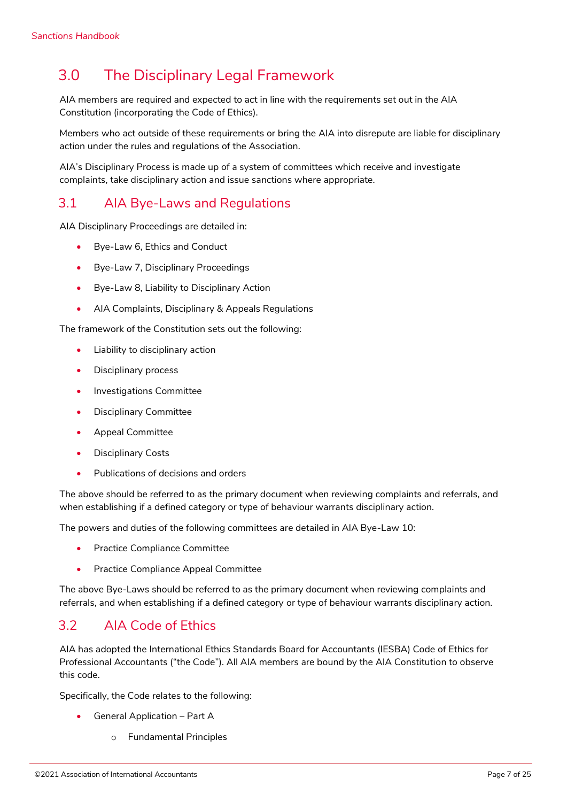## <span id="page-6-0"></span>3.0 The Disciplinary Legal Framework

AIA members are required and expected to act in line with the requirements set out in the AIA Constitution (incorporating the Code of Ethics).

Members who act outside of these requirements or bring the AIA into disrepute are liable for disciplinary action under the rules and regulations of the Association.

AIA's Disciplinary Process is made up of a system of committees which receive and investigate complaints, take disciplinary action and issue sanctions where appropriate.

### <span id="page-6-1"></span>3.1 AIA Bye-Laws and Regulations

AIA Disciplinary Proceedings are detailed in:

- Bye-Law 6, Ethics and Conduct
- Bye-Law 7, Disciplinary Proceedings
- Bye-Law 8, Liability to Disciplinary Action
- AIA Complaints, Disciplinary & Appeals Regulations

The framework of the Constitution sets out the following:

- Liability to disciplinary action
- Disciplinary process
- Investigations Committee
- Disciplinary Committee
- Appeal Committee
- Disciplinary Costs
- Publications of decisions and orders

The above should be referred to as the primary document when reviewing complaints and referrals, and when establishing if a defined category or type of behaviour warrants disciplinary action.

The powers and duties of the following committees are detailed in AIA Bye-Law 10:

- Practice Compliance Committee
- Practice Compliance Appeal Committee

The above Bye-Laws should be referred to as the primary document when reviewing complaints and referrals, and when establishing if a defined category or type of behaviour warrants disciplinary action.

## <span id="page-6-2"></span>3.2 AIA Code of Ethics

AIA has adopted the International Ethics Standards Board for Accountants (IESBA) Code of Ethics for Professional Accountants ("the Code"). All AIA members are bound by the AIA Constitution to observe this code.

Specifically, the Code relates to the following:

- General Application Part A
	- o Fundamental Principles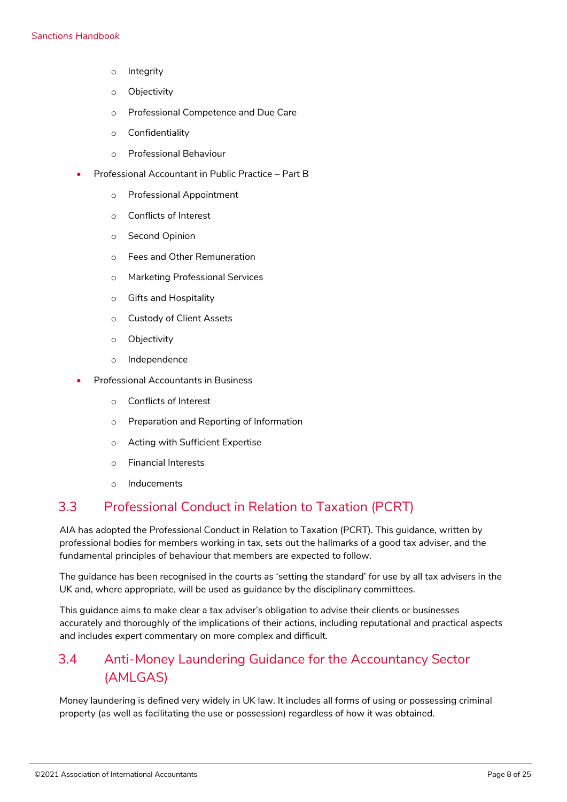- o Integrity
- o Objectivity
- o Professional Competence and Due Care
- o Confidentiality
- o Professional Behaviour
- Professional Accountant in Public Practice Part B
	- o Professional Appointment
	- o Conflicts of Interest
	- o Second Opinion
	- o Fees and Other Remuneration
	- o Marketing Professional Services
	- o Gifts and Hospitality
	- o Custody of Client Assets
	- o Objectivity
	- o Independence
- Professional Accountants in Business
	- o Conflicts of Interest
	- o Preparation and Reporting of Information
	- o Acting with Sufficient Expertise
	- o Financial Interests
	- o Inducements

### <span id="page-7-0"></span>3.3 Professional Conduct in Relation to Taxation (PCRT)

AIA has adopted the Professional Conduct in Relation to Taxation (PCRT). This guidance, written by professional bodies for members working in tax, sets out the hallmarks of a good tax adviser, and the fundamental principles of behaviour that members are expected to follow.

The guidance has been recognised in the courts as 'setting the standard' for use by all tax advisers in the UK and, where appropriate, will be used as guidance by the disciplinary committees.

This guidance aims to make clear a tax adviser's obligation to advise their clients or businesses accurately and thoroughly of the implications of their actions, including reputational and practical aspects and includes expert commentary on more complex and difficult.

## <span id="page-7-1"></span>3.4 Anti-Money Laundering Guidance for the Accountancy Sector (AMLGAS)

Money laundering is defined very widely in UK law. It includes all forms of using or possessing criminal property (as well as facilitating the use or possession) regardless of how it was obtained.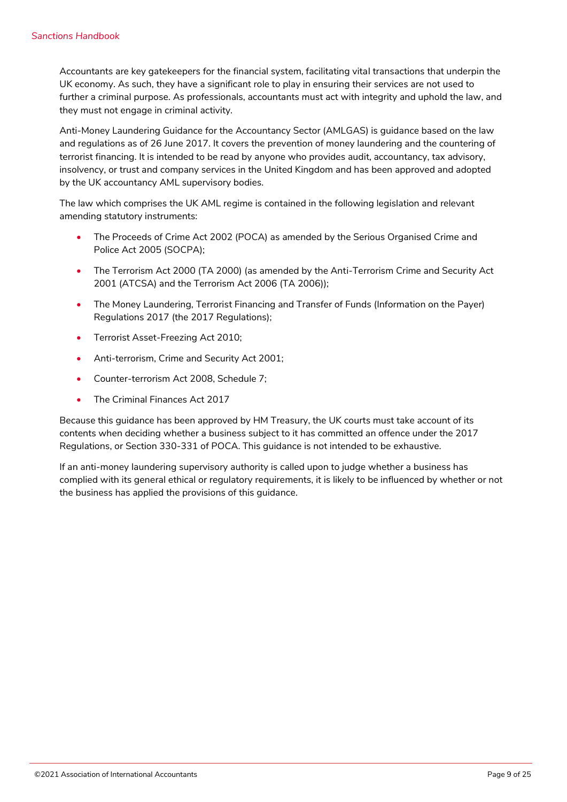Accountants are key gatekeepers for the financial system, facilitating vital transactions that underpin the UK economy. As such, they have a significant role to play in ensuring their services are not used to further a criminal purpose. As professionals, accountants must act with integrity and uphold the law, and they must not engage in criminal activity.

Anti-Money Laundering Guidance for the Accountancy Sector (AMLGAS) is guidance based on the law and regulations as of 26 June 2017. It covers the prevention of money laundering and the countering of terrorist financing. It is intended to be read by anyone who provides audit, accountancy, tax advisory, insolvency, or trust and company services in the United Kingdom and has been approved and adopted by the UK accountancy AML supervisory bodies.

The law which comprises the UK AML regime is contained in the following legislation and relevant amending statutory instruments:

- The Proceeds of Crime Act 2002 (POCA) as amended by the Serious Organised Crime and Police Act 2005 (SOCPA);
- The Terrorism Act 2000 (TA 2000) (as amended by the Anti-Terrorism Crime and Security Act 2001 (ATCSA) and the Terrorism Act 2006 (TA 2006));
- The Money Laundering, Terrorist Financing and Transfer of Funds (Information on the Payer) Regulations 2017 (the 2017 Regulations);
- Terrorist Asset-Freezing Act 2010;
- Anti-terrorism, Crime and Security Act 2001;
- Counter-terrorism Act 2008, Schedule 7;
- The Criminal Finances Act 2017

Because this guidance has been approved by HM Treasury, the UK courts must take account of its contents when deciding whether a business subject to it has committed an offence under the 2017 Regulations, or Section 330-331 of POCA. This guidance is not intended to be exhaustive.

If an anti-money laundering supervisory authority is called upon to judge whether a business has complied with its general ethical or regulatory requirements, it is likely to be influenced by whether or not the business has applied the provisions of this guidance.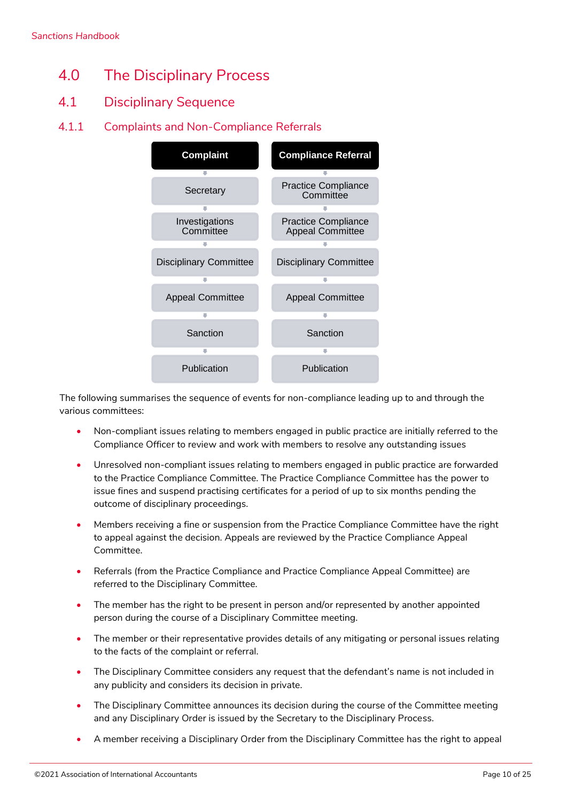- <span id="page-9-0"></span>4.0 The Disciplinary Process
- <span id="page-9-1"></span>4.1 Disciplinary Sequence
- <span id="page-9-2"></span>4.1.1 Complaints and Non-Compliance Referrals



The following summarises the sequence of events for non-compliance leading up to and through the various committees:

- Non-compliant issues relating to members engaged in public practice are initially referred to the Compliance Officer to review and work with members to resolve any outstanding issues
- Unresolved non-compliant issues relating to members engaged in public practice are forwarded to the Practice Compliance Committee. The Practice Compliance Committee has the power to issue fines and suspend practising certificates for a period of up to six months pending the outcome of disciplinary proceedings.
- Members receiving a fine or suspension from the Practice Compliance Committee have the right to appeal against the decision. Appeals are reviewed by the Practice Compliance Appeal Committee.
- Referrals (from the Practice Compliance and Practice Compliance Appeal Committee) are referred to the Disciplinary Committee.
- The member has the right to be present in person and/or represented by another appointed person during the course of a Disciplinary Committee meeting.
- The member or their representative provides details of any mitigating or personal issues relating to the facts of the complaint or referral.
- The Disciplinary Committee considers any request that the defendant's name is not included in any publicity and considers its decision in private.
- The Disciplinary Committee announces its decision during the course of the Committee meeting and any Disciplinary Order is issued by the Secretary to the Disciplinary Process.
- A member receiving a Disciplinary Order from the Disciplinary Committee has the right to appeal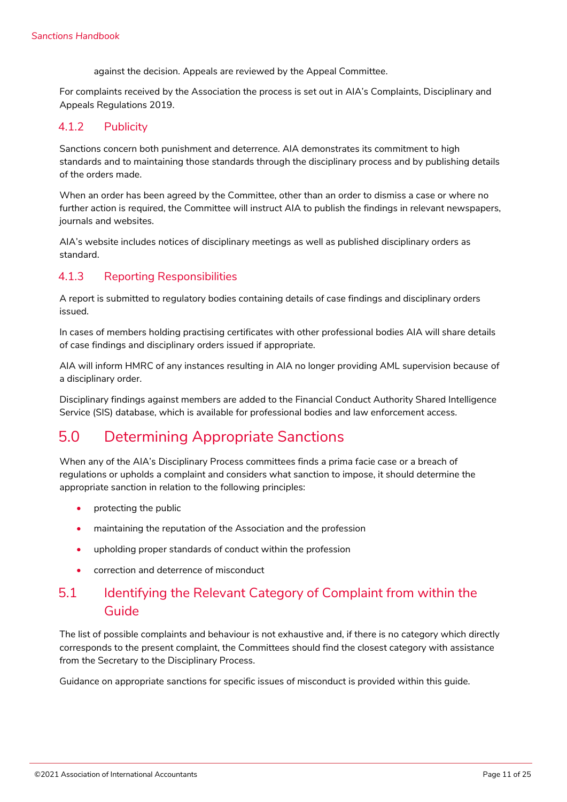against the decision. Appeals are reviewed by the Appeal Committee.

For complaints received by the Association the process is set out in AIA's Complaints, Disciplinary and Appeals Regulations 2019.

#### <span id="page-10-0"></span>4.1.2 Publicity

Sanctions concern both punishment and deterrence. AIA demonstrates its commitment to high standards and to maintaining those standards through the disciplinary process and by publishing details of the orders made.

When an order has been agreed by the Committee, other than an order to dismiss a case or where no further action is required, the Committee will instruct AIA to publish the findings in relevant newspapers, journals and websites.

AIA's website includes notices of disciplinary meetings as well as published disciplinary orders as standard.

#### <span id="page-10-1"></span>4.1.3 Reporting Responsibilities

A report is submitted to regulatory bodies containing details of case findings and disciplinary orders issued.

In cases of members holding practising certificates with other professional bodies AIA will share details of case findings and disciplinary orders issued if appropriate.

AIA will inform HMRC of any instances resulting in AIA no longer providing AML supervision because of a disciplinary order.

Disciplinary findings against members are added to the Financial Conduct Authority Shared Intelligence Service (SIS) database, which is available for professional bodies and law enforcement access.

## <span id="page-10-2"></span>5.0 Determining Appropriate Sanctions

When any of the AIA's Disciplinary Process committees finds a prima facie case or a breach of regulations or upholds a complaint and considers what sanction to impose, it should determine the appropriate sanction in relation to the following principles:

- protecting the public
- maintaining the reputation of the Association and the profession
- upholding proper standards of conduct within the profession
- correction and deterrence of misconduct

## <span id="page-10-3"></span>5.1 Identifying the Relevant Category of Complaint from within the Guide

The list of possible complaints and behaviour is not exhaustive and, if there is no category which directly corresponds to the present complaint, the Committees should find the closest category with assistance from the Secretary to the Disciplinary Process.

Guidance on appropriate sanctions for specific issues of misconduct is provided within this guide.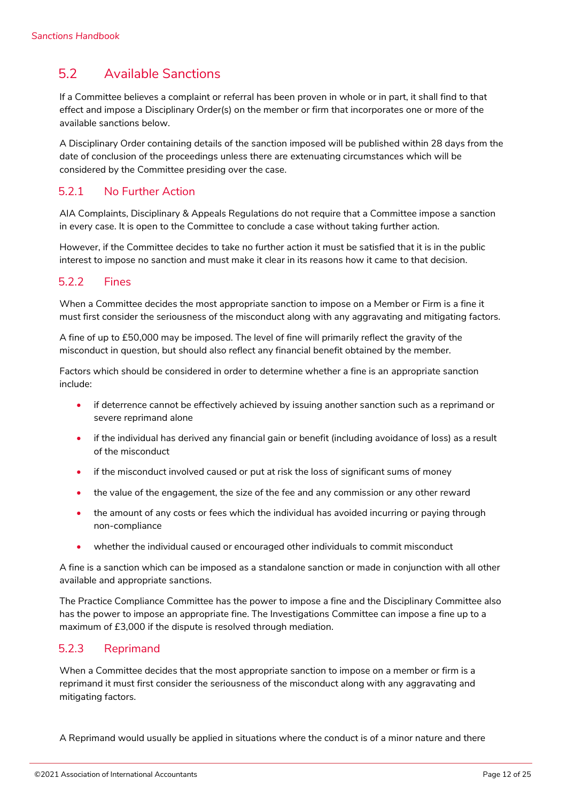## <span id="page-11-0"></span>5.2 Available Sanctions

If a Committee believes a complaint or referral has been proven in whole or in part, it shall find to that effect and impose a Disciplinary Order(s) on the member or firm that incorporates one or more of the available sanctions below.

A Disciplinary Order containing details of the sanction imposed will be published within 28 days from the date of conclusion of the proceedings unless there are extenuating circumstances which will be considered by the Committee presiding over the case.

### <span id="page-11-1"></span>5.2.1 No Further Action

AIA Complaints, Disciplinary & Appeals Regulations do not require that a Committee impose a sanction in every case. It is open to the Committee to conclude a case without taking further action.

However, if the Committee decides to take no further action it must be satisfied that it is in the public interest to impose no sanction and must make it clear in its reasons how it came to that decision.

#### <span id="page-11-2"></span>5.2.2 Fines

When a Committee decides the most appropriate sanction to impose on a Member or Firm is a fine it must first consider the seriousness of the misconduct along with any aggravating and mitigating factors.

A fine of up to £50,000 may be imposed. The level of fine will primarily reflect the gravity of the misconduct in question, but should also reflect any financial benefit obtained by the member.

Factors which should be considered in order to determine whether a fine is an appropriate sanction include:

- if deterrence cannot be effectively achieved by issuing another sanction such as a reprimand or severe reprimand alone
- if the individual has derived any financial gain or benefit (including avoidance of loss) as a result of the misconduct
- if the misconduct involved caused or put at risk the loss of significant sums of money
- the value of the engagement, the size of the fee and any commission or any other reward
- the amount of any costs or fees which the individual has avoided incurring or paying through non-compliance
- whether the individual caused or encouraged other individuals to commit misconduct

A fine is a sanction which can be imposed as a standalone sanction or made in conjunction with all other available and appropriate sanctions.

The Practice Compliance Committee has the power to impose a fine and the Disciplinary Committee also has the power to impose an appropriate fine. The Investigations Committee can impose a fine up to a maximum of £3,000 if the dispute is resolved through mediation.

#### <span id="page-11-3"></span>5.2.3 Reprimand

When a Committee decides that the most appropriate sanction to impose on a member or firm is a reprimand it must first consider the seriousness of the misconduct along with any aggravating and mitigating factors.

A Reprimand would usually be applied in situations where the conduct is of a minor nature and there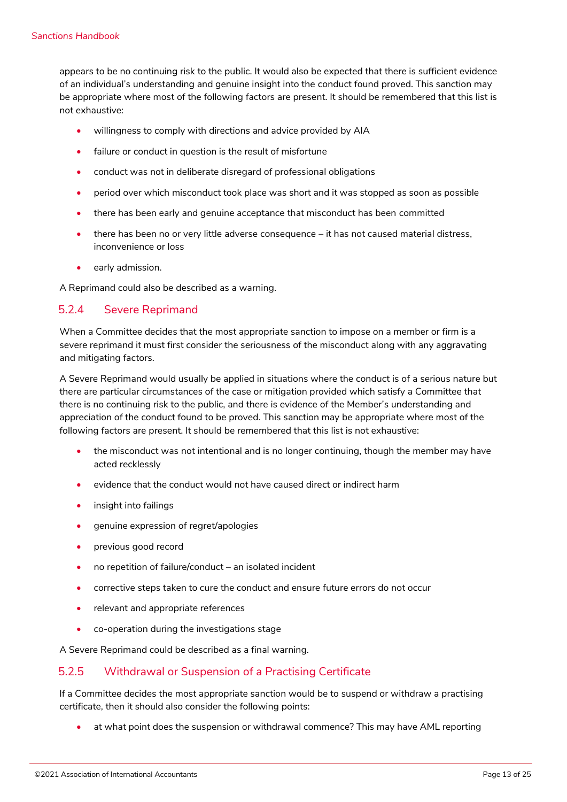appears to be no continuing risk to the public. It would also be expected that there is sufficient evidence of an individual's understanding and genuine insight into the conduct found proved. This sanction may be appropriate where most of the following factors are present. It should be remembered that this list is not exhaustive:

- willingness to comply with directions and advice provided by AIA
- failure or conduct in question is the result of misfortune
- conduct was not in deliberate disregard of professional obligations
- period over which misconduct took place was short and it was stopped as soon as possible
- there has been early and genuine acceptance that misconduct has been committed
- there has been no or very little adverse consequence it has not caused material distress, inconvenience or loss
- early admission.

A Reprimand could also be described as a warning.

#### <span id="page-12-0"></span>5.2.4 Severe Reprimand

When a Committee decides that the most appropriate sanction to impose on a member or firm is a severe reprimand it must first consider the seriousness of the misconduct along with any aggravating and mitigating factors.

A Severe Reprimand would usually be applied in situations where the conduct is of a serious nature but there are particular circumstances of the case or mitigation provided which satisfy a Committee that there is no continuing risk to the public, and there is evidence of the Member's understanding and appreciation of the conduct found to be proved. This sanction may be appropriate where most of the following factors are present. It should be remembered that this list is not exhaustive:

- the misconduct was not intentional and is no longer continuing, though the member may have acted recklessly
- evidence that the conduct would not have caused direct or indirect harm
- insight into failings
- genuine expression of regret/apologies
- previous good record
- no repetition of failure/conduct an isolated incident
- corrective steps taken to cure the conduct and ensure future errors do not occur
- relevant and appropriate references
- co-operation during the investigations stage

A Severe Reprimand could be described as a final warning.

#### <span id="page-12-1"></span>5.2.5 Withdrawal or Suspension of a Practising Certificate

If a Committee decides the most appropriate sanction would be to suspend or withdraw a practising certificate, then it should also consider the following points:

• at what point does the suspension or withdrawal commence? This may have AML reporting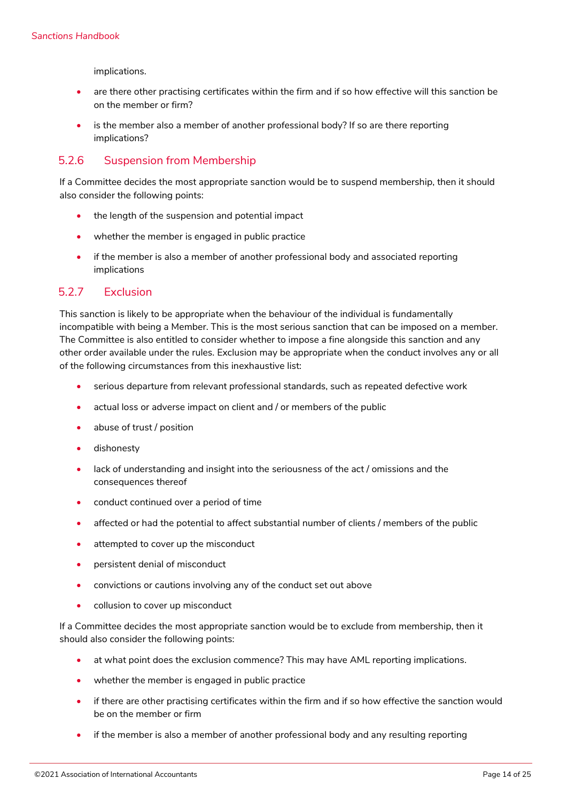implications.

- are there other practising certificates within the firm and if so how effective will this sanction be on the member or firm?
- is the member also a member of another professional body? If so are there reporting implications?

#### <span id="page-13-0"></span>5.2.6 Suspension from Membership

If a Committee decides the most appropriate sanction would be to suspend membership, then it should also consider the following points:

- the length of the suspension and potential impact
- whether the member is engaged in public practice
- if the member is also a member of another professional body and associated reporting implications

#### <span id="page-13-1"></span>5.2.7 Exclusion

This sanction is likely to be appropriate when the behaviour of the individual is fundamentally incompatible with being a Member. This is the most serious sanction that can be imposed on a member. The Committee is also entitled to consider whether to impose a fine alongside this sanction and any other order available under the rules. Exclusion may be appropriate when the conduct involves any or all of the following circumstances from this inexhaustive list:

- serious departure from relevant professional standards, such as repeated defective work
- actual loss or adverse impact on client and / or members of the public
- abuse of trust / position
- dishonesty
- lack of understanding and insight into the seriousness of the act / omissions and the consequences thereof
- conduct continued over a period of time
- affected or had the potential to affect substantial number of clients / members of the public
- attempted to cover up the misconduct
- persistent denial of misconduct
- convictions or cautions involving any of the conduct set out above
- collusion to cover up misconduct

If a Committee decides the most appropriate sanction would be to exclude from membership, then it should also consider the following points:

- at what point does the exclusion commence? This may have AML reporting implications.
- whether the member is engaged in public practice
- if there are other practising certificates within the firm and if so how effective the sanction would be on the member or firm
- if the member is also a member of another professional body and any resulting reporting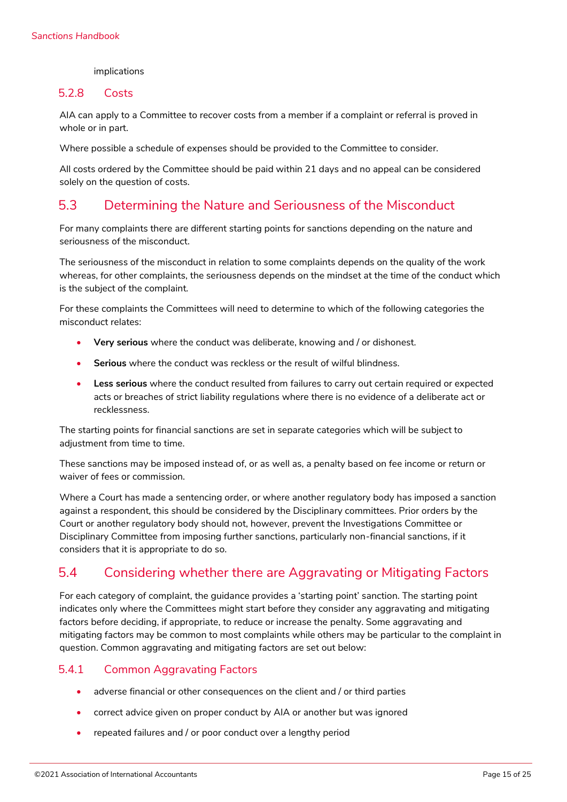#### implications

#### <span id="page-14-0"></span>5.2.8 Costs

AIA can apply to a Committee to recover costs from a member if a complaint or referral is proved in whole or in part.

Where possible a schedule of expenses should be provided to the Committee to consider.

All costs ordered by the Committee should be paid within 21 days and no appeal can be considered solely on the question of costs.

### <span id="page-14-1"></span>5.3 Determining the Nature and Seriousness of the Misconduct

For many complaints there are different starting points for sanctions depending on the nature and seriousness of the misconduct.

The seriousness of the misconduct in relation to some complaints depends on the quality of the work whereas, for other complaints, the seriousness depends on the mindset at the time of the conduct which is the subject of the complaint.

For these complaints the Committees will need to determine to which of the following categories the misconduct relates:

- **Very serious** where the conduct was deliberate, knowing and / or dishonest.
- **Serious** where the conduct was reckless or the result of wilful blindness.
- **Less serious** where the conduct resulted from failures to carry out certain required or expected acts or breaches of strict liability regulations where there is no evidence of a deliberate act or recklessness.

The starting points for financial sanctions are set in separate categories which will be subject to adjustment from time to time.

These sanctions may be imposed instead of, or as well as, a penalty based on fee income or return or waiver of fees or commission.

Where a Court has made a sentencing order, or where another regulatory body has imposed a sanction against a respondent, this should be considered by the Disciplinary committees. Prior orders by the Court or another regulatory body should not, however, prevent the Investigations Committee or Disciplinary Committee from imposing further sanctions, particularly non-financial sanctions, if it considers that it is appropriate to do so.

## <span id="page-14-2"></span>5.4 Considering whether there are Aggravating or Mitigating Factors

For each category of complaint, the guidance provides a 'starting point' sanction. The starting point indicates only where the Committees might start before they consider any aggravating and mitigating factors before deciding, if appropriate, to reduce or increase the penalty. Some aggravating and mitigating factors may be common to most complaints while others may be particular to the complaint in question. Common aggravating and mitigating factors are set out below:

#### <span id="page-14-3"></span>5.4.1 Common Aggravating Factors

- adverse financial or other consequences on the client and / or third parties
- correct advice given on proper conduct by AIA or another but was ignored
- repeated failures and / or poor conduct over a lengthy period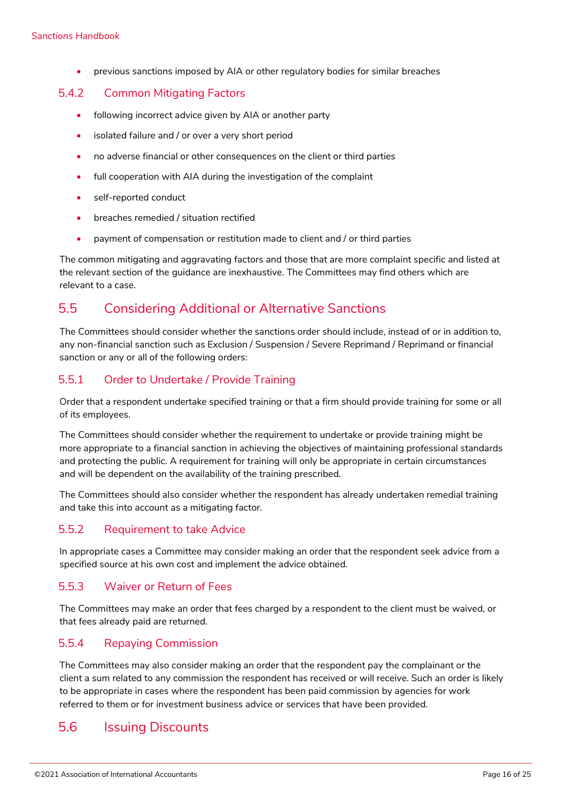• previous sanctions imposed by AIA or other regulatory bodies for similar breaches

#### <span id="page-15-0"></span>5.4.2 Common Mitigating Factors

- following incorrect advice given by AIA or another party
- isolated failure and / or over a very short period
- no adverse financial or other consequences on the client or third parties
- full cooperation with AIA during the investigation of the complaint
- self-reported conduct
- breaches remedied / situation rectified
- payment of compensation or restitution made to client and / or third parties

The common mitigating and aggravating factors and those that are more complaint specific and listed at the relevant section of the guidance are inexhaustive. The Committees may find others which are relevant to a case.

## <span id="page-15-1"></span>5.5 Considering Additional or Alternative Sanctions

The Committees should consider whether the sanctions order should include, instead of or in addition to, any non-financial sanction such as Exclusion / Suspension / Severe Reprimand / Reprimand or financial sanction or any or all of the following orders:

#### <span id="page-15-2"></span>5.5.1 Order to Undertake / Provide Training

Order that a respondent undertake specified training or that a firm should provide training for some or all of its employees.

The Committees should consider whether the requirement to undertake or provide training might be more appropriate to a financial sanction in achieving the objectives of maintaining professional standards and protecting the public. A requirement for training will only be appropriate in certain circumstances and will be dependent on the availability of the training prescribed.

The Committees should also consider whether the respondent has already undertaken remedial training and take this into account as a mitigating factor.

#### <span id="page-15-3"></span>5.5.2 Requirement to take Advice

In appropriate cases a Committee may consider making an order that the respondent seek advice from a specified source at his own cost and implement the advice obtained.

### <span id="page-15-4"></span>5.5.3 Waiver or Return of Fees

The Committees may make an order that fees charged by a respondent to the client must be waived, or that fees already paid are returned.

#### <span id="page-15-5"></span>5.5.4 Repaying Commission

The Committees may also consider making an order that the respondent pay the complainant or the client a sum related to any commission the respondent has received or will receive. Such an order is likely to be appropriate in cases where the respondent has been paid commission by agencies for work referred to them or for investment business advice or services that have been provided.

### <span id="page-15-6"></span>5.6 Issuing Discounts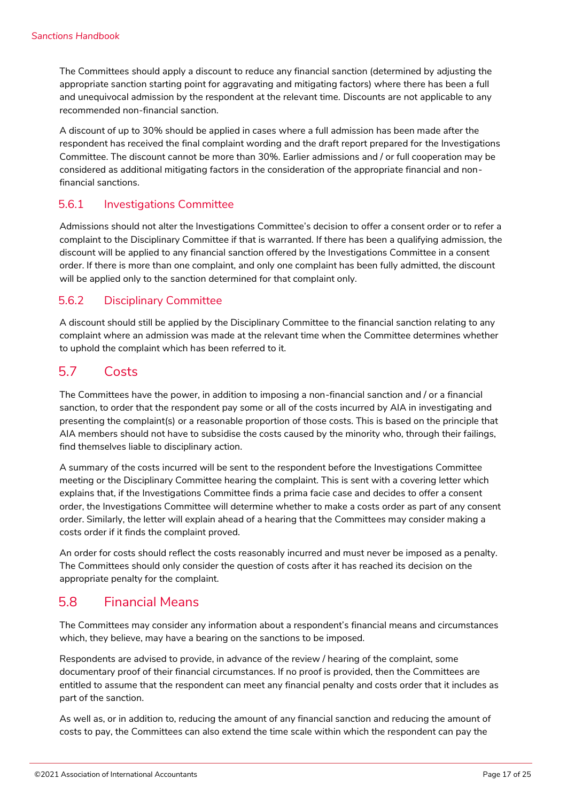The Committees should apply a discount to reduce any financial sanction (determined by adjusting the appropriate sanction starting point for aggravating and mitigating factors) where there has been a full and unequivocal admission by the respondent at the relevant time. Discounts are not applicable to any recommended non-financial sanction.

A discount of up to 30% should be applied in cases where a full admission has been made after the respondent has received the final complaint wording and the draft report prepared for the Investigations Committee. The discount cannot be more than 30%. Earlier admissions and / or full cooperation may be considered as additional mitigating factors in the consideration of the appropriate financial and nonfinancial sanctions.

#### <span id="page-16-0"></span>5.6.1 Investigations Committee

Admissions should not alter the Investigations Committee's decision to offer a consent order or to refer a complaint to the Disciplinary Committee if that is warranted. If there has been a qualifying admission, the discount will be applied to any financial sanction offered by the Investigations Committee in a consent order. If there is more than one complaint, and only one complaint has been fully admitted, the discount will be applied only to the sanction determined for that complaint only.

#### <span id="page-16-1"></span>5.6.2 Disciplinary Committee

A discount should still be applied by the Disciplinary Committee to the financial sanction relating to any complaint where an admission was made at the relevant time when the Committee determines whether to uphold the complaint which has been referred to it.

### <span id="page-16-2"></span>5.7 Costs

The Committees have the power, in addition to imposing a non-financial sanction and / or a financial sanction, to order that the respondent pay some or all of the costs incurred by AIA in investigating and presenting the complaint(s) or a reasonable proportion of those costs. This is based on the principle that AIA members should not have to subsidise the costs caused by the minority who, through their failings, find themselves liable to disciplinary action.

A summary of the costs incurred will be sent to the respondent before the Investigations Committee meeting or the Disciplinary Committee hearing the complaint. This is sent with a covering letter which explains that, if the Investigations Committee finds a prima facie case and decides to offer a consent order, the Investigations Committee will determine whether to make a costs order as part of any consent order. Similarly, the letter will explain ahead of a hearing that the Committees may consider making a costs order if it finds the complaint proved.

An order for costs should reflect the costs reasonably incurred and must never be imposed as a penalty. The Committees should only consider the question of costs after it has reached its decision on the appropriate penalty for the complaint.

### <span id="page-16-3"></span>5.8 Financial Means

The Committees may consider any information about a respondent's financial means and circumstances which, they believe, may have a bearing on the sanctions to be imposed.

Respondents are advised to provide, in advance of the review / hearing of the complaint, some documentary proof of their financial circumstances. If no proof is provided, then the Committees are entitled to assume that the respondent can meet any financial penalty and costs order that it includes as part of the sanction.

As well as, or in addition to, reducing the amount of any financial sanction and reducing the amount of costs to pay, the Committees can also extend the time scale within which the respondent can pay the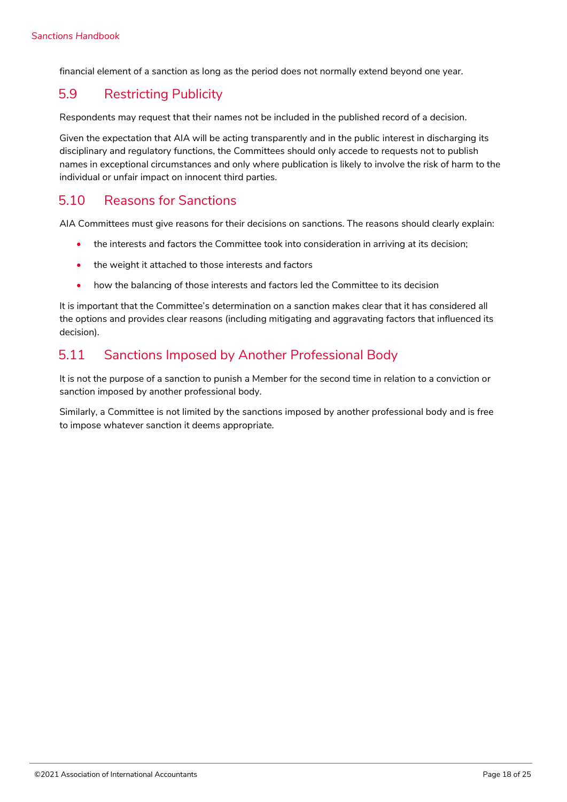financial element of a sanction as long as the period does not normally extend beyond one year.

## <span id="page-17-0"></span>5.9 Restricting Publicity

Respondents may request that their names not be included in the published record of a decision.

Given the expectation that AIA will be acting transparently and in the public interest in discharging its disciplinary and regulatory functions, the Committees should only accede to requests not to publish names in exceptional circumstances and only where publication is likely to involve the risk of harm to the individual or unfair impact on innocent third parties.

### <span id="page-17-1"></span>5.10 Reasons for Sanctions

AIA Committees must give reasons for their decisions on sanctions. The reasons should clearly explain:

- the interests and factors the Committee took into consideration in arriving at its decision;
- the weight it attached to those interests and factors
- how the balancing of those interests and factors led the Committee to its decision

It is important that the Committee's determination on a sanction makes clear that it has considered all the options and provides clear reasons (including mitigating and aggravating factors that influenced its decision).

## <span id="page-17-2"></span>5.11 Sanctions Imposed by Another Professional Body

It is not the purpose of a sanction to punish a Member for the second time in relation to a conviction or sanction imposed by another professional body.

Similarly, a Committee is not limited by the sanctions imposed by another professional body and is free to impose whatever sanction it deems appropriate.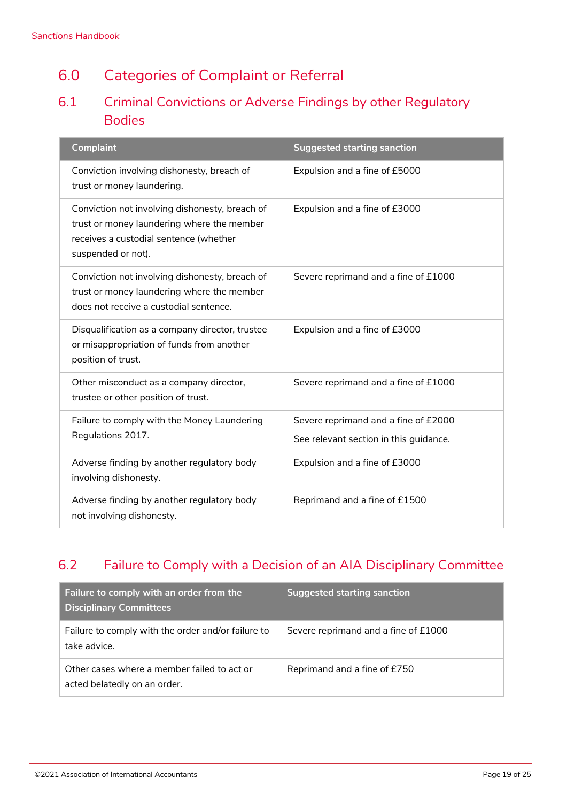## <span id="page-18-0"></span>6.0 Categories of Complaint or Referral

## <span id="page-18-1"></span>6.1 Criminal Convictions or Adverse Findings by other Regulatory Bodies

| <b>Complaint</b>                                                                                                                                             | <b>Suggested starting sanction</b>                                             |
|--------------------------------------------------------------------------------------------------------------------------------------------------------------|--------------------------------------------------------------------------------|
| Conviction involving dishonesty, breach of<br>trust or money laundering.                                                                                     | Expulsion and a fine of £5000                                                  |
| Conviction not involving dishonesty, breach of<br>trust or money laundering where the member<br>receives a custodial sentence (whether<br>suspended or not). | Expulsion and a fine of £3000                                                  |
| Conviction not involving dishonesty, breach of<br>trust or money laundering where the member<br>does not receive a custodial sentence.                       | Severe reprimand and a fine of £1000                                           |
| Disqualification as a company director, trustee<br>or misappropriation of funds from another<br>position of trust.                                           | Expulsion and a fine of £3000                                                  |
| Other misconduct as a company director,<br>trustee or other position of trust.                                                                               | Severe reprimand and a fine of £1000                                           |
| Failure to comply with the Money Laundering<br>Regulations 2017.                                                                                             | Severe reprimand and a fine of £2000<br>See relevant section in this guidance. |
| Adverse finding by another regulatory body<br>involving dishonesty.                                                                                          | Expulsion and a fine of £3000                                                  |
| Adverse finding by another regulatory body<br>not involving dishonesty.                                                                                      | Reprimand and a fine of £1500                                                  |

## <span id="page-18-2"></span>6.2 Failure to Comply with a Decision of an AIA Disciplinary Committee

| Failure to comply with an order from the<br><b>Disciplinary Committees</b>  | Suggested starting sanction          |
|-----------------------------------------------------------------------------|--------------------------------------|
| Failure to comply with the order and/or failure to<br>take advice.          | Severe reprimand and a fine of £1000 |
| Other cases where a member failed to act or<br>acted belatedly on an order. | Reprimand and a fine of £750         |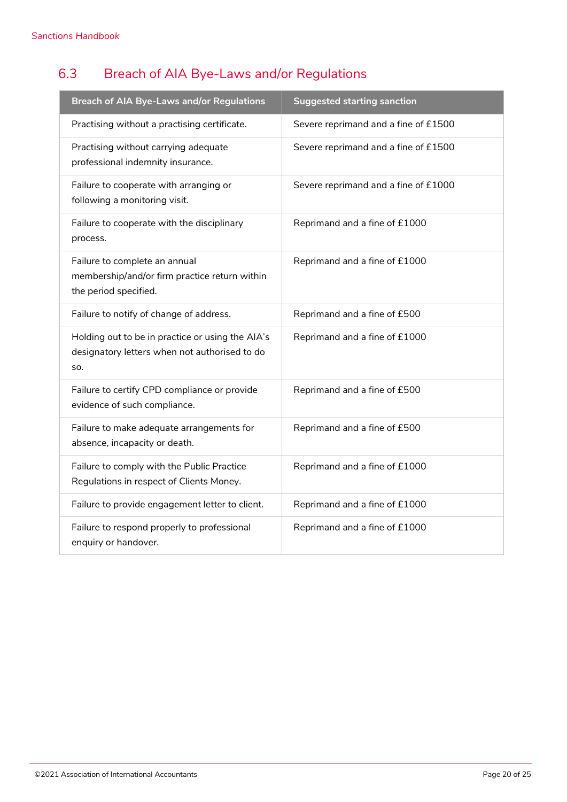## <span id="page-19-0"></span>6.3 Breach of AIA Bye-Laws and/or Regulations

| <b>Breach of AIA Bye-Laws and/or Regulations</b>                                                         | <b>Suggested starting sanction</b>   |
|----------------------------------------------------------------------------------------------------------|--------------------------------------|
| Practising without a practising certificate.                                                             | Severe reprimand and a fine of £1500 |
| Practising without carrying adequate<br>professional indemnity insurance.                                | Severe reprimand and a fine of £1500 |
| Failure to cooperate with arranging or<br>following a monitoring visit.                                  | Severe reprimand and a fine of £1000 |
| Failure to cooperate with the disciplinary<br>process.                                                   | Reprimand and a fine of £1000        |
| Failure to complete an annual<br>membership/and/or firm practice return within<br>the period specified.  | Reprimand and a fine of £1000        |
| Failure to notify of change of address.                                                                  | Reprimand and a fine of £500         |
| Holding out to be in practice or using the AIA's<br>designatory letters when not authorised to do<br>SO. | Reprimand and a fine of £1000        |
| Failure to certify CPD compliance or provide<br>evidence of such compliance.                             | Reprimand and a fine of £500         |
| Failure to make adequate arrangements for<br>absence, incapacity or death.                               | Reprimand and a fine of £500         |
| Failure to comply with the Public Practice<br>Regulations in respect of Clients Money.                   | Reprimand and a fine of £1000        |
| Failure to provide engagement letter to client.                                                          | Reprimand and a fine of £1000        |
| Failure to respond properly to professional<br>enquiry or handover.                                      | Reprimand and a fine of £1000        |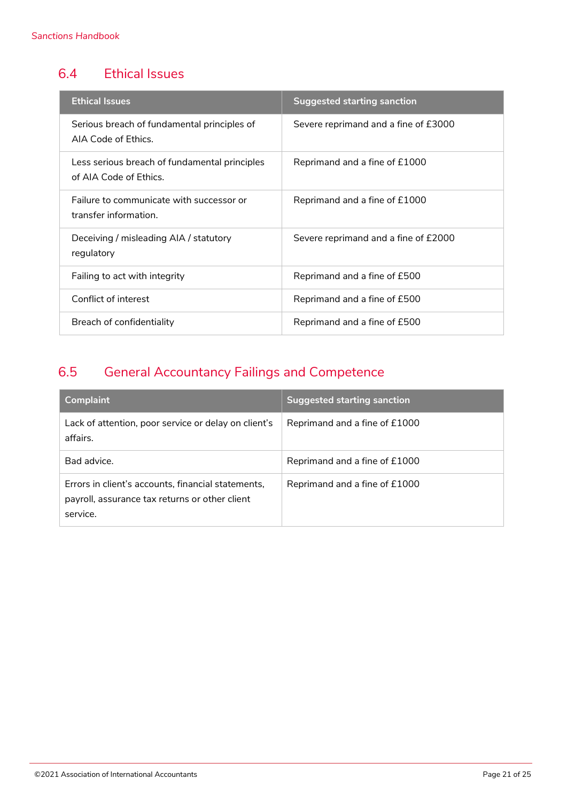## <span id="page-20-0"></span>6.4 Ethical Issues

| <b>Ethical Issues</b>                                                   | Suggested starting sanction          |
|-------------------------------------------------------------------------|--------------------------------------|
| Serious breach of fundamental principles of<br>AIA Code of Ethics.      | Severe reprimand and a fine of £3000 |
| Less serious breach of fundamental principles<br>of AIA Code of Ethics. | Reprimand and a fine of £1000        |
| Failure to communicate with successor or<br>transfer information.       | Reprimand and a fine of £1000        |
| Deceiving / misleading AIA / statutory<br>regulatory                    | Severe reprimand and a fine of £2000 |
| Failing to act with integrity                                           | Reprimand and a fine of £500         |
| Conflict of interest                                                    | Reprimand and a fine of £500         |
| Breach of confidentiality                                               | Reprimand and a fine of £500         |

## <span id="page-20-1"></span>6.5 General Accountancy Failings and Competence

| <b>Complaint</b>                                                                                                 | <b>Suggested starting sanction</b> |
|------------------------------------------------------------------------------------------------------------------|------------------------------------|
| Lack of attention, poor service or delay on client's<br>affairs.                                                 | Reprimand and a fine of £1000      |
| Bad advice.                                                                                                      | Reprimand and a fine of £1000      |
| Errors in client's accounts, financial statements,<br>payroll, assurance tax returns or other client<br>service. | Reprimand and a fine of £1000      |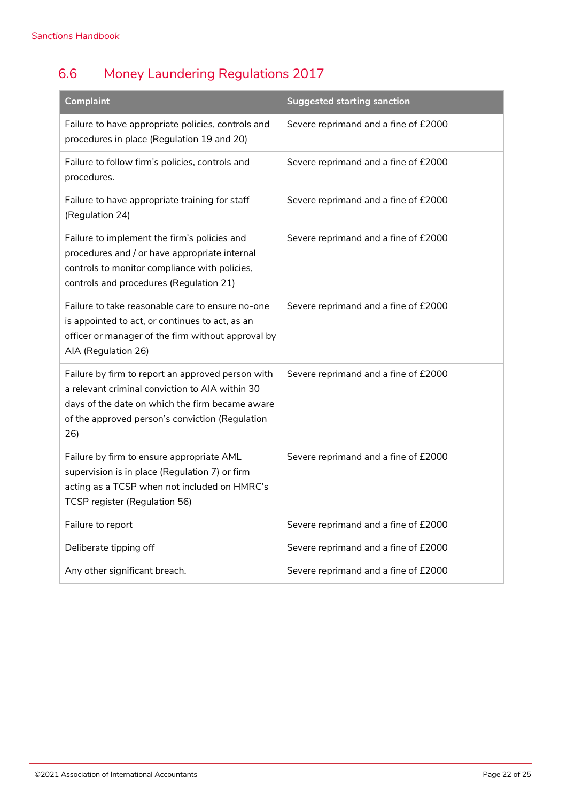## <span id="page-21-0"></span>6.6 Money Laundering Regulations 2017

| <b>Complaint</b>                                                                                                                                                                                                  | <b>Suggested starting sanction</b>   |
|-------------------------------------------------------------------------------------------------------------------------------------------------------------------------------------------------------------------|--------------------------------------|
| Failure to have appropriate policies, controls and<br>procedures in place (Regulation 19 and 20)                                                                                                                  | Severe reprimand and a fine of £2000 |
| Failure to follow firm's policies, controls and<br>procedures.                                                                                                                                                    | Severe reprimand and a fine of £2000 |
| Failure to have appropriate training for staff<br>(Regulation 24)                                                                                                                                                 | Severe reprimand and a fine of £2000 |
| Failure to implement the firm's policies and<br>procedures and / or have appropriate internal<br>controls to monitor compliance with policies,<br>controls and procedures (Regulation 21)                         | Severe reprimand and a fine of £2000 |
| Failure to take reasonable care to ensure no-one<br>is appointed to act, or continues to act, as an<br>officer or manager of the firm without approval by<br>AIA (Regulation 26)                                  | Severe reprimand and a fine of £2000 |
| Failure by firm to report an approved person with<br>a relevant criminal conviction to AIA within 30<br>days of the date on which the firm became aware<br>of the approved person's conviction (Regulation<br>26) | Severe reprimand and a fine of £2000 |
| Failure by firm to ensure appropriate AML<br>supervision is in place (Regulation 7) or firm<br>acting as a TCSP when not included on HMRC's<br>TCSP register (Regulation 56)                                      | Severe reprimand and a fine of £2000 |
| Failure to report                                                                                                                                                                                                 | Severe reprimand and a fine of £2000 |
| Deliberate tipping off                                                                                                                                                                                            | Severe reprimand and a fine of £2000 |
| Any other significant breach.                                                                                                                                                                                     | Severe reprimand and a fine of £2000 |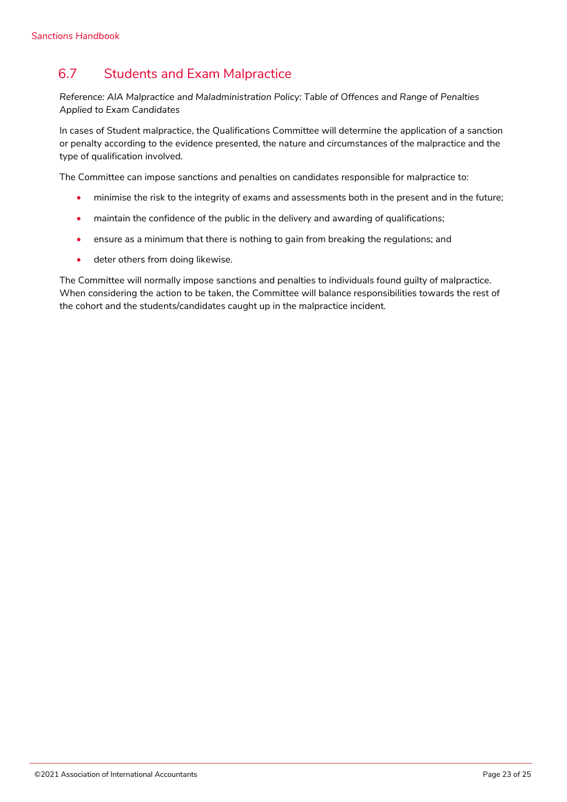## <span id="page-22-0"></span>6.7 Students and Exam Malpractice

*Reference: AIA Malpractice and Maladministration Policy: Table of Offences and Range of Penalties Applied to Exam Candidates*

In cases of Student malpractice, the Qualifications Committee will determine the application of a sanction or penalty according to the evidence presented, the nature and circumstances of the malpractice and the type of qualification involved.

The Committee can impose sanctions and penalties on candidates responsible for malpractice to:

- minimise the risk to the integrity of exams and assessments both in the present and in the future;
- maintain the confidence of the public in the delivery and awarding of qualifications;
- ensure as a minimum that there is nothing to gain from breaking the regulations; and
- deter others from doing likewise.

The Committee will normally impose sanctions and penalties to individuals found guilty of malpractice. When considering the action to be taken, the Committee will balance responsibilities towards the rest of the cohort and the students/candidates caught up in the malpractice incident.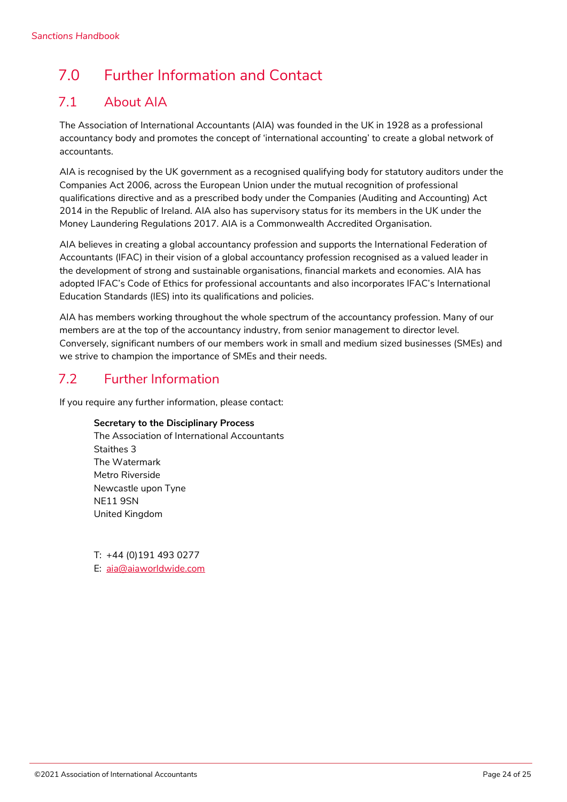## <span id="page-23-0"></span>7.0 Further Information and Contact

## <span id="page-23-1"></span>7.1 About AIA

The Association of International Accountants (AIA) was founded in the UK in 1928 as a professional accountancy body and promotes the concept of 'international accounting' to create a global network of accountants.

AIA is recognised by the UK government as a recognised qualifying body for statutory auditors under the Companies Act 2006, across the European Union under the mutual recognition of professional qualifications directive and as a prescribed body under the Companies (Auditing and Accounting) Act 2014 in the Republic of Ireland. AIA also has supervisory status for its members in the UK under the Money Laundering Regulations 2017. AIA is a Commonwealth Accredited Organisation.

AIA believes in creating a global accountancy profession and supports the International Federation of Accountants (IFAC) in their vision of a global accountancy profession recognised as a valued leader in the development of strong and sustainable organisations, financial markets and economies. AIA has adopted IFAC's Code of Ethics for professional accountants and also incorporates IFAC's International Education Standards (IES) into its qualifications and policies.

AIA has members working throughout the whole spectrum of the accountancy profession. Many of our members are at the top of the accountancy industry, from senior management to director level. Conversely, significant numbers of our members work in small and medium sized businesses (SMEs) and we strive to champion the importance of SMEs and their needs.

## <span id="page-23-2"></span>7.2 Further Information

If you require any further information, please contact:

#### **Secretary to the Disciplinary Process**

The Association of International Accountants Staithes 3 The Watermark Metro Riverside Newcastle upon Tyne NE11 9SN United Kingdom

T: +44 (0)191 493 0277 E: [aia@aiaworldwide.com](mailto:aia@aiaworldwide.com)